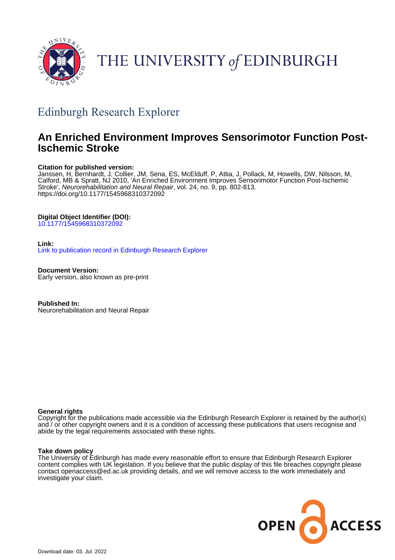

# THE UNIVERSITY of EDINBURGH

# Edinburgh Research Explorer

# **An Enriched Environment Improves Sensorimotor Function Post-Ischemic Stroke**

# **Citation for published version:**

Janssen, H, Bernhardt, J, Collier, JM, Sena, ES, McElduff, P, Attia, J, Pollack, M, Howells, DW, Nilsson, M, Calford, MB & Spratt, NJ 2010, 'An Enriched Environment Improves Sensorimotor Function Post-Ischemic Stroke', Neurorehabilitation and Neural Repair, vol. 24, no. 9, pp. 802-813. <https://doi.org/10.1177/1545968310372092>

# **Digital Object Identifier (DOI):**

[10.1177/1545968310372092](https://doi.org/10.1177/1545968310372092)

## **Link:**

[Link to publication record in Edinburgh Research Explorer](https://www.research.ed.ac.uk/en/publications/302d9858-29ae-4a10-b684-e5f54bdb7ed9)

**Document Version:** Early version, also known as pre-print

**Published In:** Neurorehabilitation and Neural Repair

## **General rights**

Copyright for the publications made accessible via the Edinburgh Research Explorer is retained by the author(s) and / or other copyright owners and it is a condition of accessing these publications that users recognise and abide by the legal requirements associated with these rights.

## **Take down policy**

The University of Edinburgh has made every reasonable effort to ensure that Edinburgh Research Explorer content complies with UK legislation. If you believe that the public display of this file breaches copyright please contact openaccess@ed.ac.uk providing details, and we will remove access to the work immediately and investigate your claim.

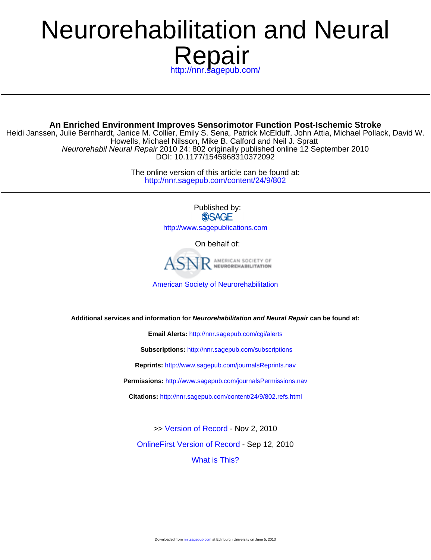# //nnr.sagepub.com/ Repair Neurorehabilitation and Neural

**An Enriched Environment Improves Sensorimotor Function Post-Ischemic Stroke**

DOI: 10.1177/1545968310372092 Neurorehabil Neural Repair 2010 24: 802 originally published online 12 September 2010 Howells, Michael Nilsson, Mike B. Calford and Neil J. Spratt Heidi Janssen, Julie Bernhardt, Janice M. Collier, Emily S. Sena, Patrick McElduff, John Attia, Michael Pollack, David W.

> <http://nnr.sagepub.com/content/24/9/802> The online version of this article can be found at:

> > Published by: **SSAGE**

<http://www.sagepublications.com>

On behalf of:



[American Society of Neurorehabilitation](http://www.asnr.com/)

**Additional services and information for Neurorehabilitation and Neural Repair can be found at:**

**Email Alerts:** <http://nnr.sagepub.com/cgi/alerts>

**Subscriptions:** <http://nnr.sagepub.com/subscriptions>

**Reprints:** <http://www.sagepub.com/journalsReprints.nav>

**Permissions:** <http://www.sagepub.com/journalsPermissions.nav>

**Citations:** <http://nnr.sagepub.com/content/24/9/802.refs.html>

[OnlineFirst Version of Record](http://nnr.sagepub.com/content/early/2010/09/10/1545968310372092.full.pdf) - Sep 12, 2010 >> [Version of Record -](http://nnr.sagepub.com/content/24/9/802.full.pdf) Nov 2, 2010

[What is This?](http://online.sagepub.com/site/sphelp/vorhelp.xhtml)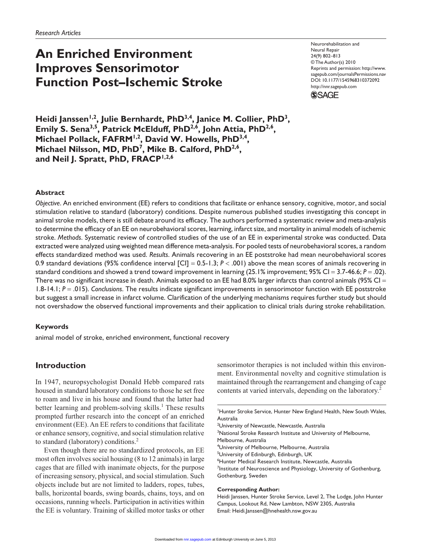# **An Enriched Environment Improves Sensorimotor Function Post–Ischemic Stroke**

Neurorehabilitation and Neural Repair 24(9) 802–813 © The Author(s) 2010 Reprints and permission: http://www. sagepub.com/journalsPermissions.nav DOI: 10.1177/1545968310372092 http://nnr.sagepub.com

**SSAGE** 

Heidi Janssen<sup>1,2</sup>, Julie Bernhardt, PhD<sup>3,4</sup>, Janice M. Collier, PhD<sup>3</sup>, **Emily S. Sena3,5, Patrick McElduff, PhD2,6, John Attia, PhD2,6,** Michael Pollack, FAFRM<sup>1,2</sup>, David W. Howells, PhD<sup>3,4</sup>, Michael Nilsson, MD, PhD<sup>7</sup>, Mike B. Calford, PhD<sup>2,6</sup>, and Neil J. Spratt, PhD, FRACP<sup>1,2,6</sup>

#### **Abstract**

*Objective*. An enriched environment (EE) refers to conditions that facilitate or enhance sensory, cognitive, motor, and social stimulation relative to standard (laboratory) conditions. Despite numerous published studies investigating this concept in animal stroke models, there is still debate around its efficacy. The authors performed a systematic review and meta-analysis to determine the efficacy of an EE on neurobehavioral scores, learning, infarct size, and mortality in animal models of ischemic stroke. *Methods*. Systematic review of controlled studies of the use of an EE in experimental stroke was conducted. Data extracted were analyzed using weighted mean difference meta-analysis. For pooled tests of neurobehavioral scores, a random effects standardized method was used. *Results*. Animals recovering in an EE poststroke had mean neurobehavioral scores 0.9 standard deviations (95% confidence interval  $\text{[Cl]} = 0.5 \cdot 1.3$ ;  $P < .001$ ) above the mean scores of animals recovering in standard conditions and showed a trend toward improvement in learning (25.1% improvement; 95% CI = 3.7-46.6; *P* = .02). There was no significant increase in death. Animals exposed to an EE had 8.0% larger infarcts than control animals (95% CI = 1.8-14.1; *P* = .015). *Conclusions*. The results indicate significant improvements in sensorimotor function with EE poststroke but suggest a small increase in infarct volume. Clarification of the underlying mechanisms requires further study but should not overshadow the observed functional improvements and their application to clinical trials during stroke rehabilitation.

#### **Keywords**

animal model of stroke, enriched environment, functional recovery

## **Introduction**

In 1947, neuropsychologist Donald Hebb compared rats housed in standard laboratory conditions to those he set free to roam and live in his house and found that the latter had better learning and problem-solving skills.<sup>1</sup> These results prompted further research into the concept of an enriched environment (EE). An EE refers to conditions that facilitate or enhance sensory, cognitive, and social stimulation relative to standard (laboratory) conditions.2

Even though there are no standardized protocols, an EE most often involves social housing (8 to 12 animals) in large cages that are filled with inanimate objects, for the purpose of increasing sensory, physical, and social stimulation. Such objects include but are not limited to ladders, ropes, tubes, balls, horizontal boards, swing boards, chains, toys, and on occasions, running wheels. Participation in activities within the EE is voluntary. Training of skilled motor tasks or other sensorimotor therapies is not included within this environment. Environmental novelty and cognitive stimulation is maintained through the rearrangement and changing of cage contents at varied intervals, depending on the laboratory.<sup>2</sup>

<sup>2</sup>University of Newcastle, Newcastle, Australia

<sup>3</sup>National Stroke Research Institute and University of Melbourne, Melbourne, Australia

4 University of Melbourne, Melbourne, Australia

<sup>5</sup>University of Edinburgh, Edinburgh, UK

6 Hunter Medical Research Institute, Newcastle, Australia

<sup>7</sup>Institute of Neuroscience and Physiology, University of Gothenburg, Gothenburg, Sweden

#### **Corresponding Author:**

Heidi Janssen, Hunter Stroke Service, Level 2, The Lodge, John Hunter Campus, Lookout Rd, New Lambton, NSW 2305, Australia Email: Heidi.Janssen@hnehealth.nsw.gov.au

<sup>&</sup>lt;sup>1</sup>Hunter Stroke Service, Hunter New England Health, New South Wales, Australia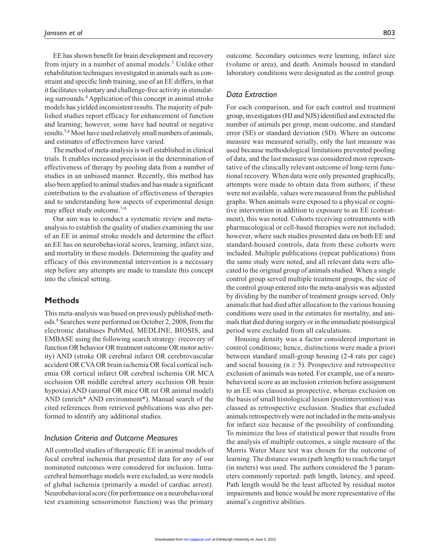EE has shown benefit for brain development and recovery from injury in a number of animal models.<sup>3</sup> Unlike other rehabilitation techniques investigated in animals such as constraint and specific limb training, use of an EE differs, in that it facilitates voluntary and challenge-free activity in stimulating surrounds.4 Application of this concept in animal stroke models has yielded inconsistent results. The majority of published studies report efficacy for enhancement of function and learning; however, some have had neutral or negative results.<sup>5,6</sup> Most have used relatively small numbers of animals, and estimates of effectiveness have varied.

The method of meta-analysis is well established in clinical trials. It enables increased precision in the determination of effectiveness of therapy by pooling data from a number of studies in an unbiased manner. Recently, this method has also been applied to animal studies and has made a significant contribution to the evaluation of effectiveness of therapies and to understanding how aspects of experimental design may affect study outcome.<sup>7-9</sup>

Our aim was to conduct a systematic review and metaanalysis to establish the quality of studies examining the use of an EE in animal stroke models and determine the effect an EE has on neurobehavioral scores, learning, infarct size, and mortality in these models. Determining the quality and efficacy of this environmental intervention is a necessary step before any attempts are made to translate this concept into the clinical setting.

## **Methods**

This meta-analysis was based on previously published methods.8 Searches were performed on October 2, 2008, from the electronic databases PubMed, MEDLINE, BIOSIS, and EMBASE using the following search strategy: (recovery of function OR behavior OR treatment outcome OR motor activity) AND (stroke OR cerebral infarct OR cerebrovascular accident OR CVA OR brain ischemia OR focal cortical ischemia OR cortical infarct OR cerebral ischemia OR MCA occlusion OR middle cerebral artery occlusion OR brain hypoxia) AND (animal OR mice OR rat OR animal model) AND (enrich\* AND environment\*). Manual search of the cited references from retrieved publications was also performed to identify any additional studies.

## *Inclusion Criteria and Outcome Measures*

All controlled studies of therapeutic EE in animal models of focal cerebral ischemia that presented data for any of our nominated outcomes were considered for inclusion. Intracerebral hemorrhage models were excluded, as were models of global ischemia (primarily a model of cardiac arrest). Neurobehavioral score (for performance on a neurobehavioral test examining sensorimotor function) was the primary

outcome. Secondary outcomes were learning, infarct size (volume or area), and death. Animals housed in standard laboratory conditions were designated as the control group.

#### *Data Extraction*

For each comparison, and for each control and treatment group, investigators (HJ and NJS) identified and extracted the number of animals per group, mean outcome, and standard error (SE) or standard deviation (SD). Where an outcome measure was measured serially, only the last measure was used because methodological limitations prevented pooling of data, and the last measure was considered most representative of the clinically relevant outcome of long-term functional recovery. When data were only presented graphically, attempts were made to obtain data from authors; if these were not available, values were measured from the published graphs. When animals were exposed to a physical or cognitive intervention in addition to exposure to an EE (cotreatment), this was noted. Cohorts receiving cotreatments with pharmacological or cell-based therapies were not included; however, where such studies presented data on both EE and standard-housed controls, data from these cohorts were included. Multiple publications (repeat publications) from the same study were noted, and all relevant data were allocated to the original group of animals studied. When a single control group served multiple treatment groups, the size of the control group entered into the meta-analysis was adjusted by dividing by the number of treatment groups served. Only animals that had died after allocation to the various housing conditions were used in the estimates for mortality, and animals that died during surgery or in the immediate postsurgical period were excluded from all calculations.

Housing density was a factor considered important in control conditions; hence, distinctions were made a priori between standard small-group housing (2-4 rats per cage) and social housing ( $n \geq 5$ ). Prospective and retrospective exclusion of animals was noted. For example, use of a neurobehavioral score as an inclusion criterion before assignment to an EE was classed as prospective, whereas exclusion on the basis of small histological lesion (postintervention) was classed as retrospective exclusion. Studies that excluded animals retrospectively were not included in the meta-analysis for infarct size because of the possibility of confounding. To minimize the loss of statistical power that results from the analysis of multiple outcomes, a single measure of the Morris Water Maze test was chosen for the outcome of learning. The distance swum (path length) to reach the target (in meters) was used. The authors considered the 3 parameters commonly reported: path length, latency, and speed. Path length would be the least affected by residual motor impairments and hence would be more representative of the animal's cognitive abilities.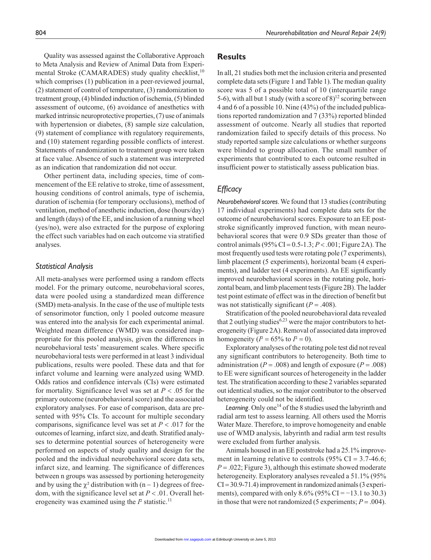Quality was assessed against the Collaborative Approach to Meta Analysis and Review of Animal Data from Experimental Stroke (CAMARADES) study quality checklist,<sup>10</sup> which comprises (1) publication in a peer-reviewed journal, (2) statement of control of temperature, (3) randomization to treatment group, (4) blinded induction of ischemia, (5) blinded assessment of outcome, (6) avoidance of anesthetics with marked intrinsic neuroprotective properties, (7) use of animals with hypertension or diabetes,  $(8)$  sample size calculation, (9) statement of compliance with regulatory requirements, and (10) statement regarding possible conflicts of interest. Statements of randomization to treatment group were taken at face value. Absence of such a statement was interpreted as an indication that randomization did not occur.

Other pertinent data, including species, time of commencement of the EE relative to stroke, time of assessment, housing conditions of control animals, type of ischemia, duration of ischemia (for temporary occlusions), method of ventilation, method of anesthetic induction, dose (hours/day) and length (days) of the EE, and inclusion of a running wheel (yes/no), were also extracted for the purpose of exploring the effect such variables had on each outcome via stratified analyses.

#### *Statistical Analysis*

All meta-analyses were performed using a random effects model. For the primary outcome, neurobehavioral scores, data were pooled using a standardized mean difference (SMD) meta-analysis. In the case of the use of multiple tests of sensorimotor function, only 1 pooled outcome measure was entered into the analysis for each experimental animal. Weighted mean difference (WMD) was considered inappropriate for this pooled analysis, given the differences in neurobehavioral tests' measurement scales. Where specific neurobehavioral tests were performed in at least 3 individual publications, results were pooled. These data and that for infarct volume and learning were analyzed using WMD. Odds ratios and confidence intervals (CIs) were estimated for mortality. Significance level was set at *P* < .05 for the primary outcome (neurobehavioral score) and the associated exploratory analyses. For ease of comparison, data are presented with 95% CIs. To account for multiple secondary comparisons, significance level was set at *P* < .017 for the outcomes of learning, infarct size, and death. Stratified analyses to determine potential sources of heterogeneity were performed on aspects of study quality and design for the pooled and the individual neurobehavioral score data sets, infarct size, and learning. The significance of differences between n groups was assessed by portioning heterogeneity and by using the  $\chi^2$  distribution with (n – 1) degrees of freedom, with the significance level set at *P* < .01. Overall heterogeneity was examined using the  *statistic.<sup>11</sup>* 

#### **Results**

In all, 21 studies both met the inclusion criteria and presented complete data sets (Figure 1 and Table 1). The median quality score was 5 of a possible total of 10 (interquartile range 5-6), with all but 1 study (with a score of  $8$ )<sup>12</sup> scoring between 4 and 6 of a possible 10. Nine (43%) of the included publications reported randomization and 7 (33%) reported blinded assessment of outcome. Nearly all studies that reported randomization failed to specify details of this process. No study reported sample size calculations or whether surgeons were blinded to group allocation. The small number of experiments that contributed to each outcome resulted in insufficient power to statistically assess publication bias.

## *Efficacy*

*Neurobehavioral scores*. We found that 13 studies (contributing 17 individual experiments) had complete data sets for the outcome of neurobehavioral scores. Exposure to an EE poststroke significantly improved function, with mean neurobehavioral scores that were 0.9 SDs greater than those of control animals (95% CI = 0.5-1.3; *P* < .001; Figure 2A). The most frequently used tests were rotating pole (7 experiments), limb placement (5 experiments), horizontal beam (4 experiments), and ladder test (4 experiments). An EE significantly improved neurobehavioral scores in the rotating pole, horizontal beam, and limb placement tests (Figure 2B). The ladder test point estimate of effect was in the direction of benefit but was not statistically significant  $(P = .408)$ .

Stratification of the pooled neurobehavioral data revealed that 2 outlying studies $6,23$  were the major contributors to heterogeneity (Figure 2A). Removal of associated data improved homogeneity ( $I^2 = 65\%$  to  $I^2 = 0$ ).

Exploratory analyses of the rotating pole test did not reveal any significant contributors to heterogeneity. Both time to administration ( $P = .008$ ) and length of exposure ( $P = .008$ ) to EE were significant sources of heterogeneity in the ladder test. The stratification according to these 2 variables separated out identical studies, so the major contributor to the observed heterogeneity could not be identified.

Learning. Only one<sup>14</sup> of the 8 studies used the labyrinth and radial arm test to assess learning. All others used the Morris Water Maze. Therefore, to improve homogeneity and enable use of WMD analysis, labyrinth and radial arm test results were excluded from further analysis.

Animals housed in an EE poststroke had a 25.1% improvement in learning relative to controls  $(95\% \text{ CI} = 3.7-46.6;$ *P* = .022; Figure 3), although this estimate showed moderate heterogeneity. Exploratory analyses revealed a 51.1% (95%)  $CI = 30.9 - 71.4$ ) improvement in randomized animals  $(3 \text{ experi-}$ ments), compared with only 8.6% (95% CI =  $-13.1$  to 30.3) in those that were not randomized (5 experiments;  $P = .004$ ).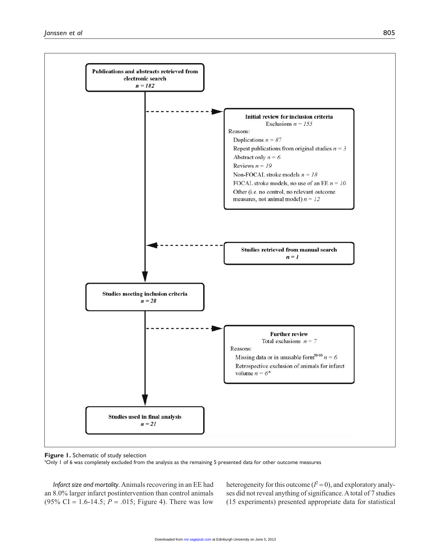

**Figure 1.** Schematic of study selection

a Only 1 of 6 was completely excluded from the analysis as the remaining 5 presented data for other outcome measures

*Infarct size and mortality*. Animals recovering in an EE had an 8.0% larger infarct postintervention than control animals (95% CI = 1.6-14.5;  $P = .015$ ; Figure 4). There was low

heterogeneity for this outcome  $(I^2 = 0)$ , and exploratory analyses did not reveal anything of significance. A total of 7 studies (15 experiments) presented appropriate data for statistical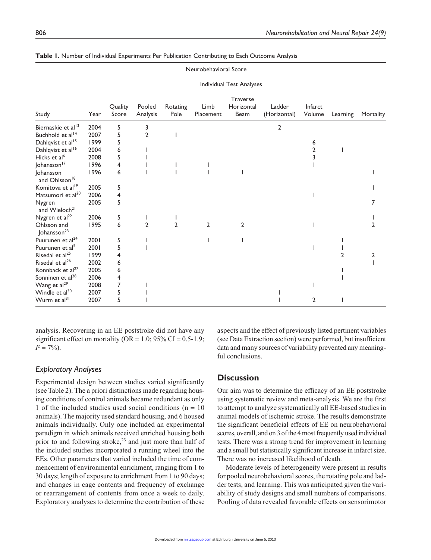|                                        |      |                  |                         |                  | Neurobehavioral Score |                                       |                        |                   |          |           |
|----------------------------------------|------|------------------|-------------------------|------------------|-----------------------|---------------------------------------|------------------------|-------------------|----------|-----------|
|                                        |      |                  |                         |                  |                       | Individual Test Analyses              |                        |                   |          |           |
| Study                                  | Year | Quality<br>Score | Pooled<br>Analysis      | Rotating<br>Pole | Limb<br>Placement     | <b>Traverse</b><br>Horizontal<br>Beam | Ladder<br>(Horizontal) | Infarct<br>Volume | Learning | Mortality |
| Biernaskie et al <sup>13</sup>         | 2004 | 5                | 3                       |                  |                       |                                       | 2                      |                   |          |           |
| Buchhold et al <sup>14</sup>           | 2007 | 5                | $\overline{\mathbf{2}}$ |                  |                       |                                       |                        |                   |          |           |
| Dahlqvist et al <sup>15</sup>          | 1999 | 5                |                         |                  |                       |                                       |                        | 6                 |          |           |
| Dahlqvist et al <sup>16</sup>          | 2004 | 6                |                         |                  |                       |                                       |                        | 2                 |          |           |
| Hicks et al <sup>6</sup>               | 2008 | 5                |                         |                  |                       |                                       |                        |                   |          |           |
| Johansson <sup>17</sup>                | 1996 | 4                |                         |                  |                       |                                       |                        |                   |          |           |
| Johansson<br>and Ohlsson <sup>18</sup> | 1996 | 6                |                         |                  |                       |                                       |                        |                   |          |           |
| Komitova et al <sup>19</sup>           | 2005 | 5                |                         |                  |                       |                                       |                        |                   |          |           |
| Matsumori et al <sup>20</sup>          | 2006 | 4                |                         |                  |                       |                                       |                        |                   |          |           |
| Nygren<br>and Wieloch <sup>21</sup>    | 2005 | 5                |                         |                  |                       |                                       |                        |                   |          |           |
| Nygren et al <sup>22</sup>             | 2006 | 5                |                         |                  |                       |                                       |                        |                   |          |           |
| Ohlsson and<br>Johansson <sup>23</sup> | 1995 | 6                | $\overline{2}$          | $\overline{2}$   | $\overline{2}$        | 2                                     |                        |                   |          | 2         |
| Puurunen et al <sup>24</sup>           | 2001 | 5                |                         |                  |                       |                                       |                        |                   |          |           |
| Puurunen et al <sup>5</sup>            | 2001 | 5                |                         |                  |                       |                                       |                        |                   |          |           |
| Risedal et al <sup>25</sup>            | 1999 | 4                |                         |                  |                       |                                       |                        |                   | 2        | 2         |
| Risedal et al <sup>26</sup>            | 2002 | 6                |                         |                  |                       |                                       |                        |                   |          |           |
| Ronnback et al <sup>27</sup>           | 2005 | 6                |                         |                  |                       |                                       |                        |                   |          |           |
| Sonninen et al <sup>28</sup>           | 2006 | 4                |                         |                  |                       |                                       |                        |                   |          |           |
| Wang et al <sup>29</sup>               | 2008 | 7                |                         |                  |                       |                                       |                        |                   |          |           |
| Windle et al <sup>30</sup>             | 2007 | 5                |                         |                  |                       |                                       |                        |                   |          |           |
| Wurm et al <sup>31</sup>               | 2007 | 5                |                         |                  |                       |                                       |                        | $\overline{2}$    |          |           |

| Table 1. Number of Individual Experiments Per Publication Contributing to Each Outcome Analysis |  |  |  |
|-------------------------------------------------------------------------------------------------|--|--|--|
|-------------------------------------------------------------------------------------------------|--|--|--|

analysis. Recovering in an EE poststroke did not have any significant effect on mortality (OR =  $1.0$ ; 95% CI =  $0.5-1.9$ ;  $I^2 = 7\%$ ).

## *Exploratory Analyses*

Experimental design between studies varied significantly (see Table 2). The a priori distinctions made regarding housing conditions of control animals became redundant as only 1 of the included studies used social conditions ( $n = 10$ ) animals). The majority used standard housing, and 6 housed animals individually. Only one included an experimental paradigm in which animals received enriched housing both prior to and following stroke,<sup>23</sup> and just more than half of the included studies incorporated a running wheel into the EEs. Other parameters that varied included the time of commencement of environmental enrichment, ranging from 1 to 30 days; length of exposure to enrichment from 1 to 90 days; and changes in cage contents and frequency of exchange or rearrangement of contents from once a week to daily. Exploratory analyses to determine the contribution of these aspects and the effect of previously listed pertinent variables (see Data Extraction section) were performed, but insufficient data and many sources of variability prevented any meaningful conclusions.

## **Discussion**

Our aim was to determine the efficacy of an EE poststroke using systematic review and meta-analysis. We are the first to attempt to analyze systematically all EE-based studies in animal models of ischemic stroke. The results demonstrate the significant beneficial effects of EE on neurobehavioral scores, overall, and on 3 of the 4 most frequently used individual tests. There was a strong trend for improvement in learning and a small but statistically significant increase in infarct size. There was no increased likelihood of death.

Moderate levels of heterogeneity were present in results for pooled neurobehavioral scores, the rotating pole and ladder tests, and learning. This was anticipated given the variability of study designs and small numbers of comparisons. Pooling of data revealed favorable effects on sensorimotor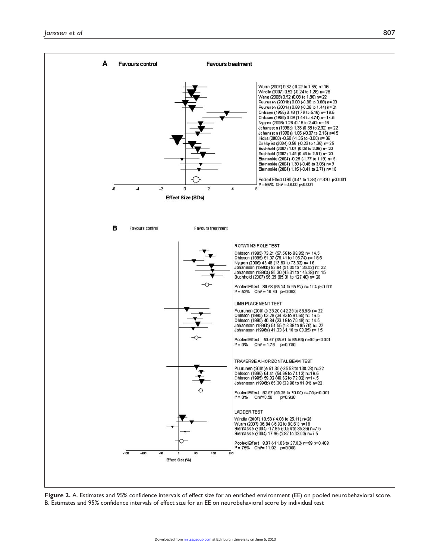

**Figure 2.** A. Estimates and 95% confidence intervals of effect size for an enriched environment (EE) on pooled neurobehavioral score. B. Estimates and 95% confidence intervals of effect size for an EE on neurobehavioral score by individual test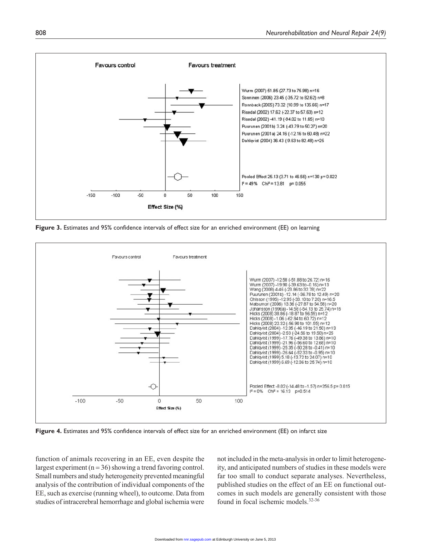

**Figure 3.** Estimates and 95% confidence intervals of effect size for an enriched environment (EE) on learning



**Figure 4.** Estimates and 95% confidence intervals of effect size for an enriched environment (EE) on infarct size

function of animals recovering in an EE, even despite the largest experiment ( $n = 36$ ) showing a trend favoring control. Small numbers and study heterogeneity prevented meaningful analysis of the contribution of individual components of the EE, such as exercise (running wheel), to outcome. Data from studies of intracerebral hemorrhage and global ischemia were not included in the meta-analysis in order to limit heterogeneity, and anticipated numbers of studies in these models were far too small to conduct separate analyses. Nevertheless, published studies on the effect of an EE on functional outcomes in such models are generally consistent with those found in focal ischemic models.32-36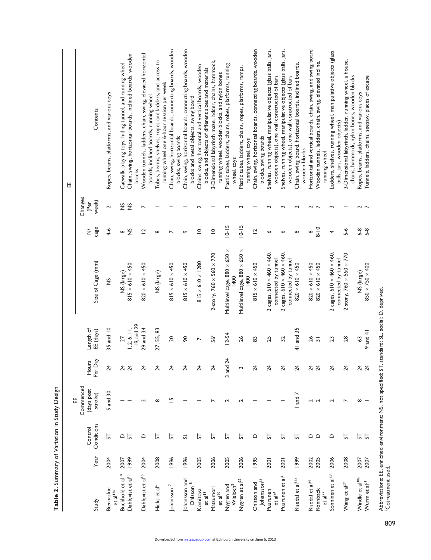| blocks<br>Changes<br>week)<br>(Per<br>ž<br>$\frac{5}{2}$<br>$\sim$<br>N<br>2<br>2<br>2<br>m<br>$\sim$<br>$\overline{ }$<br>m<br>ო<br>m<br>$\sim$<br>$10 - 15$<br>$10 - 15$<br>cage<br>$8 - 10$<br>$-5 - 6$<br>$6 - 8$<br>$6 - 8$<br>$\frac{4}{6}$<br>$\frac{5}{2}$<br>$\overline{a}$<br>$\geq$<br>$\overline{a}$<br>$\subseteq$<br>$\subseteq$<br>$\infty$<br>8<br>$\infty$<br>ò<br>o<br>∾<br>$\infty$<br>4<br>↖<br>Multilevel cage, 880 × 650 ×<br>Multilevel cage, 880 × 650 ×<br>2 cages, $610 \times 460 \times 460$ ,<br>cages, $610 \times 460 \times 460$ ,<br>2 cages, $610 \times 460 \times 460$ ,<br>story, $760 \times 560 \times 770$<br>$2\text{-story}, 760 \times 560 \times 770$<br>connected by tunnel<br>connected by tunnel<br>connected by tunnel<br>Size of Cage (mm)<br>$815 \times 610 \times 1280$<br>$815 \times 610 \times 450$<br>$820 \times 610 \times 450$<br>$815 \times 610 \times 450$<br>$815 \times 610 \times 450$<br>$820 \times 610 \times 450$<br>$820 \times 610 \times 450$<br>$820 \times 610 \times 450$<br>$850 \times 750 \times 400$<br>$815 \times 610 \times 450$<br>NS (large)<br>NS (large)<br>NS (large)<br>1400<br>1400<br>$\frac{5}{2}$<br>$\sim$<br>$\sim$<br>19, and 29<br>Length of<br>1, 2, 6, 11,<br>29 and 34<br>35 and 10<br>41 and 35<br>27, 55, 83<br>EE (days)<br>$9$ and $41$<br>$12 - 54$<br>56ª<br>$\overline{c}$<br>27<br>œ<br>$\frac{8}{2}$<br>26<br>28<br>8<br>25<br>23<br>32<br>S<br>$\overline{5}$<br>$\overline{ }$<br>24<br>Per Day<br>Hours<br>3 and<br>$\mathcal{Z}$<br>21<br>ম ম<br>$\frac{5}{4}$<br>$\frac{5}{4}$<br>ž<br>$\frac{5}{4}$<br>ž<br>$\frac{5}{4}$<br>ž<br>$\frac{5}{4}$<br>$74^{\circ}$<br>ž<br>ň<br>21 S<br>Ņ<br>Commenced<br>(days post<br>5 and 30<br>I and 7<br>stroke)<br>Ш<br>L<br>$\infty$<br>22<br>$\infty$<br>$\sim$<br>$\sim$<br>Conditions<br>Control<br>5<br>ದ<br>5<br>55<br>5 ہ<br>5<br>5<br>ದ<br>ದ<br>능<br>5<br>ದ<br>5<br>ᢑ<br>≏<br>≏<br>മ മ<br>≏<br>Year<br>1999<br>2008<br>1996<br>2005<br>2006<br>2005<br>2006<br>1995<br>2005<br>2008<br>2004<br>1996<br>1999<br>2002<br>2006<br>2007<br>2004<br>2001<br>2007<br>2007<br>2001<br>Buchhold et al <sup>14</sup><br>Dahlqvist et al <sup>16</sup><br>Dahlqvist et al <sup>15</sup><br>Sonninen et al <sup>28</sup><br>Puurunen et al <sup>5</sup><br>Windle et al <sup>30a</sup><br>Johansson and<br>Nygren et al <sup>22</sup><br>Risedal et al <sup>25a</sup><br>Johansson <sup>23</sup><br>Risedal et al <sup>26</sup><br>Wurm et al <sup>31</sup><br>Ohlsson and<br>Ohlsson <sup>18</sup><br>Wang et al <sup>29</sup><br>Wieloch <sup>21</sup><br>Nygren and<br>Johansson <sup>17</sup><br>Hicks et al <sup>6</sup><br>Matsumori<br>Biernaskie<br>Ronnback<br>Komitova<br>Puurunen<br>$et al^{13a}$<br>et al <sup>19</sup><br>et al <sup>24</sup><br>$et$ al $^{20}$<br>et al $^{27}$<br>Study |  |  |  |  | 出                                                                                                                 |
|-------------------------------------------------------------------------------------------------------------------------------------------------------------------------------------------------------------------------------------------------------------------------------------------------------------------------------------------------------------------------------------------------------------------------------------------------------------------------------------------------------------------------------------------------------------------------------------------------------------------------------------------------------------------------------------------------------------------------------------------------------------------------------------------------------------------------------------------------------------------------------------------------------------------------------------------------------------------------------------------------------------------------------------------------------------------------------------------------------------------------------------------------------------------------------------------------------------------------------------------------------------------------------------------------------------------------------------------------------------------------------------------------------------------------------------------------------------------------------------------------------------------------------------------------------------------------------------------------------------------------------------------------------------------------------------------------------------------------------------------------------------------------------------------------------------------------------------------------------------------------------------------------------------------------------------------------------------------------------------------------------------------------------------------------------------------------------------------------------------------------------------------------------------------------------------------------------------------------------------------------------------------------------------------------------------------------------------------------------------------------------------------------------------------------------------------------------------------------------------------------------------------------------------------------------------------------------------------------------------------------------------------------------------------------------------------------------------------------------------------------------------------------------------------------------------------------------------------------------------|--|--|--|--|-------------------------------------------------------------------------------------------------------------------|
|                                                                                                                                                                                                                                                                                                                                                                                                                                                                                                                                                                                                                                                                                                                                                                                                                                                                                                                                                                                                                                                                                                                                                                                                                                                                                                                                                                                                                                                                                                                                                                                                                                                                                                                                                                                                                                                                                                                                                                                                                                                                                                                                                                                                                                                                                                                                                                                                                                                                                                                                                                                                                                                                                                                                                                                                                                                             |  |  |  |  | Contents                                                                                                          |
|                                                                                                                                                                                                                                                                                                                                                                                                                                                                                                                                                                                                                                                                                                                                                                                                                                                                                                                                                                                                                                                                                                                                                                                                                                                                                                                                                                                                                                                                                                                                                                                                                                                                                                                                                                                                                                                                                                                                                                                                                                                                                                                                                                                                                                                                                                                                                                                                                                                                                                                                                                                                                                                                                                                                                                                                                                                             |  |  |  |  | Ropes, beams, platforms, and various toys                                                                         |
|                                                                                                                                                                                                                                                                                                                                                                                                                                                                                                                                                                                                                                                                                                                                                                                                                                                                                                                                                                                                                                                                                                                                                                                                                                                                                                                                                                                                                                                                                                                                                                                                                                                                                                                                                                                                                                                                                                                                                                                                                                                                                                                                                                                                                                                                                                                                                                                                                                                                                                                                                                                                                                                                                                                                                                                                                                                             |  |  |  |  | Catwalk, playing toys, hiding tunnel, and running wheel                                                           |
|                                                                                                                                                                                                                                                                                                                                                                                                                                                                                                                                                                                                                                                                                                                                                                                                                                                                                                                                                                                                                                                                                                                                                                                                                                                                                                                                                                                                                                                                                                                                                                                                                                                                                                                                                                                                                                                                                                                                                                                                                                                                                                                                                                                                                                                                                                                                                                                                                                                                                                                                                                                                                                                                                                                                                                                                                                                             |  |  |  |  | Chain, swing, horizontal boards, inclined boards, wooden                                                          |
|                                                                                                                                                                                                                                                                                                                                                                                                                                                                                                                                                                                                                                                                                                                                                                                                                                                                                                                                                                                                                                                                                                                                                                                                                                                                                                                                                                                                                                                                                                                                                                                                                                                                                                                                                                                                                                                                                                                                                                                                                                                                                                                                                                                                                                                                                                                                                                                                                                                                                                                                                                                                                                                                                                                                                                                                                                                             |  |  |  |  | Wooden tunnels, ladders, chain, swing, elevated horizontal<br>boards, inclined boards, running wheel              |
|                                                                                                                                                                                                                                                                                                                                                                                                                                                                                                                                                                                                                                                                                                                                                                                                                                                                                                                                                                                                                                                                                                                                                                                                                                                                                                                                                                                                                                                                                                                                                                                                                                                                                                                                                                                                                                                                                                                                                                                                                                                                                                                                                                                                                                                                                                                                                                                                                                                                                                                                                                                                                                                                                                                                                                                                                                                             |  |  |  |  | Tubes, beams, shelves, ropes and ladders, and access to<br>running wheel one 6-hour session per week              |
|                                                                                                                                                                                                                                                                                                                                                                                                                                                                                                                                                                                                                                                                                                                                                                                                                                                                                                                                                                                                                                                                                                                                                                                                                                                                                                                                                                                                                                                                                                                                                                                                                                                                                                                                                                                                                                                                                                                                                                                                                                                                                                                                                                                                                                                                                                                                                                                                                                                                                                                                                                                                                                                                                                                                                                                                                                                             |  |  |  |  | Chain, swing, horizontal boards, connecting boards, wooden<br>blocks, swing boards                                |
|                                                                                                                                                                                                                                                                                                                                                                                                                                                                                                                                                                                                                                                                                                                                                                                                                                                                                                                                                                                                                                                                                                                                                                                                                                                                                                                                                                                                                                                                                                                                                                                                                                                                                                                                                                                                                                                                                                                                                                                                                                                                                                                                                                                                                                                                                                                                                                                                                                                                                                                                                                                                                                                                                                                                                                                                                                                             |  |  |  |  | Chain, swing, horizontal boards, connecting boards, wooden<br>blocks and metal objects, swing board               |
|                                                                                                                                                                                                                                                                                                                                                                                                                                                                                                                                                                                                                                                                                                                                                                                                                                                                                                                                                                                                                                                                                                                                                                                                                                                                                                                                                                                                                                                                                                                                                                                                                                                                                                                                                                                                                                                                                                                                                                                                                                                                                                                                                                                                                                                                                                                                                                                                                                                                                                                                                                                                                                                                                                                                                                                                                                                             |  |  |  |  | Chains, swing, horizontal and vertical boards, wooden<br>blocks, and objects of different sizes and materials     |
|                                                                                                                                                                                                                                                                                                                                                                                                                                                                                                                                                                                                                                                                                                                                                                                                                                                                                                                                                                                                                                                                                                                                                                                                                                                                                                                                                                                                                                                                                                                                                                                                                                                                                                                                                                                                                                                                                                                                                                                                                                                                                                                                                                                                                                                                                                                                                                                                                                                                                                                                                                                                                                                                                                                                                                                                                                                             |  |  |  |  | 3-Dimensional labyrinth maze, ladder, chains, hammock,<br>running wheel, wooden blocks, and nylon bones           |
|                                                                                                                                                                                                                                                                                                                                                                                                                                                                                                                                                                                                                                                                                                                                                                                                                                                                                                                                                                                                                                                                                                                                                                                                                                                                                                                                                                                                                                                                                                                                                                                                                                                                                                                                                                                                                                                                                                                                                                                                                                                                                                                                                                                                                                                                                                                                                                                                                                                                                                                                                                                                                                                                                                                                                                                                                                                             |  |  |  |  | Plastic tubes, ladders, chains, robes, platforms, running<br>wheel, toys                                          |
|                                                                                                                                                                                                                                                                                                                                                                                                                                                                                                                                                                                                                                                                                                                                                                                                                                                                                                                                                                                                                                                                                                                                                                                                                                                                                                                                                                                                                                                                                                                                                                                                                                                                                                                                                                                                                                                                                                                                                                                                                                                                                                                                                                                                                                                                                                                                                                                                                                                                                                                                                                                                                                                                                                                                                                                                                                                             |  |  |  |  | Plastic tubes, ladders, chains, ropes, platforms, ramps,<br>running wheel, toys                                   |
|                                                                                                                                                                                                                                                                                                                                                                                                                                                                                                                                                                                                                                                                                                                                                                                                                                                                                                                                                                                                                                                                                                                                                                                                                                                                                                                                                                                                                                                                                                                                                                                                                                                                                                                                                                                                                                                                                                                                                                                                                                                                                                                                                                                                                                                                                                                                                                                                                                                                                                                                                                                                                                                                                                                                                                                                                                                             |  |  |  |  | Chain, swing, horizontal boards, connecting boards, wooden<br>blocks, swing boards                                |
|                                                                                                                                                                                                                                                                                                                                                                                                                                                                                                                                                                                                                                                                                                                                                                                                                                                                                                                                                                                                                                                                                                                                                                                                                                                                                                                                                                                                                                                                                                                                                                                                                                                                                                                                                                                                                                                                                                                                                                                                                                                                                                                                                                                                                                                                                                                                                                                                                                                                                                                                                                                                                                                                                                                                                                                                                                                             |  |  |  |  | Shelves, running wheel, manipulative objects (glass balls, jars,<br>wooden objects), one wall constructed of bars |
|                                                                                                                                                                                                                                                                                                                                                                                                                                                                                                                                                                                                                                                                                                                                                                                                                                                                                                                                                                                                                                                                                                                                                                                                                                                                                                                                                                                                                                                                                                                                                                                                                                                                                                                                                                                                                                                                                                                                                                                                                                                                                                                                                                                                                                                                                                                                                                                                                                                                                                                                                                                                                                                                                                                                                                                                                                                             |  |  |  |  | Shelves, running wheel, manipulative objects (glass balls, jars,<br>wooden objects), one wall constructed of bars |
|                                                                                                                                                                                                                                                                                                                                                                                                                                                                                                                                                                                                                                                                                                                                                                                                                                                                                                                                                                                                                                                                                                                                                                                                                                                                                                                                                                                                                                                                                                                                                                                                                                                                                                                                                                                                                                                                                                                                                                                                                                                                                                                                                                                                                                                                                                                                                                                                                                                                                                                                                                                                                                                                                                                                                                                                                                                             |  |  |  |  | Chain, swing board, horizontal boards, inclined boards,<br>wooden blocks                                          |
|                                                                                                                                                                                                                                                                                                                                                                                                                                                                                                                                                                                                                                                                                                                                                                                                                                                                                                                                                                                                                                                                                                                                                                                                                                                                                                                                                                                                                                                                                                                                                                                                                                                                                                                                                                                                                                                                                                                                                                                                                                                                                                                                                                                                                                                                                                                                                                                                                                                                                                                                                                                                                                                                                                                                                                                                                                                             |  |  |  |  | Horizontal and vertical boards, chain, swing, and swing board                                                     |
|                                                                                                                                                                                                                                                                                                                                                                                                                                                                                                                                                                                                                                                                                                                                                                                                                                                                                                                                                                                                                                                                                                                                                                                                                                                                                                                                                                                                                                                                                                                                                                                                                                                                                                                                                                                                                                                                                                                                                                                                                                                                                                                                                                                                                                                                                                                                                                                                                                                                                                                                                                                                                                                                                                                                                                                                                                                             |  |  |  |  | Wooden tunnels, ladders, chain, swing, elevated incline,<br>running wheel                                         |
|                                                                                                                                                                                                                                                                                                                                                                                                                                                                                                                                                                                                                                                                                                                                                                                                                                                                                                                                                                                                                                                                                                                                                                                                                                                                                                                                                                                                                                                                                                                                                                                                                                                                                                                                                                                                                                                                                                                                                                                                                                                                                                                                                                                                                                                                                                                                                                                                                                                                                                                                                                                                                                                                                                                                                                                                                                                             |  |  |  |  | Ladders, shelves, running wheel, manipulative objects (glass<br>balls, jars, wooden objects)                      |
|                                                                                                                                                                                                                                                                                                                                                                                                                                                                                                                                                                                                                                                                                                                                                                                                                                                                                                                                                                                                                                                                                                                                                                                                                                                                                                                                                                                                                                                                                                                                                                                                                                                                                                                                                                                                                                                                                                                                                                                                                                                                                                                                                                                                                                                                                                                                                                                                                                                                                                                                                                                                                                                                                                                                                                                                                                                             |  |  |  |  | 3-Dimensional labyrinth, ladder, running wheel, a house,<br>chains, hammock, nylon bones, wooden blocks           |
|                                                                                                                                                                                                                                                                                                                                                                                                                                                                                                                                                                                                                                                                                                                                                                                                                                                                                                                                                                                                                                                                                                                                                                                                                                                                                                                                                                                                                                                                                                                                                                                                                                                                                                                                                                                                                                                                                                                                                                                                                                                                                                                                                                                                                                                                                                                                                                                                                                                                                                                                                                                                                                                                                                                                                                                                                                                             |  |  |  |  | Tunnels, ladders, chains, seesaw, places of escape<br>Ropes, beams, platforms, and various toys                   |

Abbreviations: EE, enriched environment; NS, not specified; ST, standard; SL, social; D, deprived.<br>°Cotreatment used. Abbreviations: EE, enriched environment; NS, not specified; ST, standard; SL, social; D, deprived. aCotreatment used.

**Table 2.** Summary of Variation in Study Design

Table 2. Summary of Variation in Study Design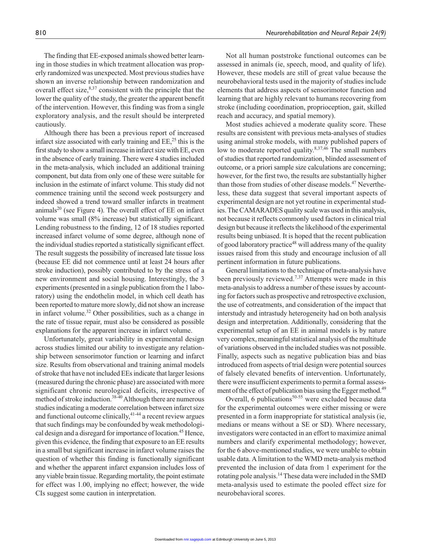The finding that EE-exposed animals showed better learning in those studies in which treatment allocation was properly randomized was unexpected. Most previous studies have shown an inverse relationship between randomization and overall effect size,  $8,37$  consistent with the principle that the lower the quality of the study, the greater the apparent benefit of the intervention. However, this finding was from a single exploratory analysis, and the result should be interpreted cautiously.

Although there has been a previous report of increased infarct size associated with early training and  $EE$ <sup>25</sup> this is the first study to show a small increase in infarct size with EE, even in the absence of early training. There were 4 studies included in the meta-analysis, which included an additional training component, but data from only one of these were suitable for inclusion in the estimate of infarct volume. This study did not commence training until the second week postsurgery and indeed showed a trend toward smaller infarcts in treatment animals<sup>20</sup> (see Figure 4). The overall effect of  $EE$  on infarct volume was small (8% increase) but statistically significant. Lending robustness to the finding, 12 of 18 studies reported increased infarct volume of some degree, although none of the individual studies reported a statistically significant effect. The result suggests the possibility of increased late tissue loss (because EE did not commence until at least 24 hours after stroke induction), possibly contributed to by the stress of a new environment and social housing. Interestingly, the 3 experiments (presented in a single publication from the 1 laboratory) using the endothelin model, in which cell death has been reported to mature more slowly, did not show an increase in infarct volume.32 Other possibilities, such as a change in the rate of tissue repair, must also be considered as possible explanations for the apparent increase in infarct volume.

Unfortunately, great variability in experimental design across studies limited our ability to investigate any relationship between sensorimotor function or learning and infarct size. Results from observational and training animal models of stroke that have not included EEs indicate that larger lesions (measured during the chronic phase) are associated with more significant chronic neurological deficits, irrespective of method of stroke induction.<sup>38-40</sup> Although there are numerous studies indicating a moderate correlation between infarct size and functional outcome clinically,41-44 a recent review argues that such findings may be confounded by weak methodological design and a disregard for importance of location.45 Hence, given this evidence, the finding that exposure to an EE results in a small but significant increase in infarct volume raises the question of whether this finding is functionally significant and whether the apparent infarct expansion includes loss of any viable brain tissue. Regarding mortality, the point estimate for effect was 1.00, implying no effect; however, the wide CIs suggest some caution in interpretation.

Not all human poststroke functional outcomes can be assessed in animals (ie, speech, mood, and quality of life). However, these models are still of great value because the neurobehavioral tests used in the majority of studies include elements that address aspects of sensorimotor function and learning that are highly relevant to humans recovering from stroke (including coordination, proprioception, gait, skilled reach and accuracy, and spatial memory).

Most studies achieved a moderate quality score. These results are consistent with previous meta-analyses of studies using animal stroke models, with many published papers of low to moderate reported quality.<sup>8,37,46</sup> The small numbers of studies that reported randomization, blinded assessment of outcome, or a priori sample size calculations are concerning; however, for the first two, the results are substantially higher than those from studies of other disease models.<sup>47</sup> Nevertheless, these data suggest that several important aspects of experimental design are not yet routine in experimental studies. The CAMARADES quality scale was used in this analysis, not because it reflects commonly used factors in clinical trial design but because it reflects the likelihood of the experimental results being unbiased. It is hoped that the recent publication of good laboratory practice48 will address many of the quality issues raised from this study and encourage inclusion of all pertinent information in future publications.

General limitations to the technique of meta-analysis have been previously reviewed.7,37 Attempts were made in this meta-analysis to address a number of these issues by accounting for factors such as prospective and retrospective exclusion, the use of cotreatments, and consideration of the impact that interstudy and intrastudy heterogeneity had on both analysis design and interpretation. Additionally, considering that the experimental setup of an EE in animal models is by nature very complex, meaningful statistical analysis of the multitude of variations observed in the included studies was not possible. Finally, aspects such as negative publication bias and bias introduced from aspects of trial design were potential sources of falsely elevated benefits of intervention. Unfortunately, there were insufficient experiments to permit a formal assessment of the effect of publication bias using the Egger method.<sup>49</sup>

Overall, 6 publications $50-55$  were excluded because data for the experimental outcomes were either missing or were presented in a form inappropriate for statistical analysis (ie, medians or means without a SE or SD). Where necessary, investigators were contacted in an effort to maximize animal numbers and clarify experimental methodology; however, for the 6 above-mentioned studies, we were unable to obtain usable data. A limitation to the WMD meta-analysis method prevented the inclusion of data from 1 experiment for the rotating pole analysis.14 These data were included in the SMD meta-analysis used to estimate the pooled effect size for neurobehavioral scores.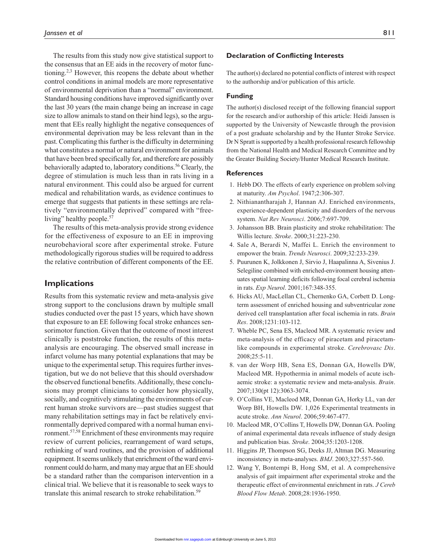The results from this study now give statistical support to the consensus that an EE aids in the recovery of motor functioning.2,3 However, this reopens the debate about whether control conditions in animal models are more representative of environmental deprivation than a "normal" environment. Standard housing conditions have improved significantly over the last 30 years (the main change being an increase in cage size to allow animals to stand on their hind legs), so the argument that EEs really highlight the negative consequences of environmental deprivation may be less relevant than in the past. Complicating this further is the difficulty in determining what constitutes a normal or natural environment for animals that have been bred specifically for, and therefore are possibly behaviorally adapted to, laboratory conditions.<sup>56</sup> Clearly, the degree of stimulation is much less than in rats living in a natural environment. This could also be argued for current medical and rehabilitation wards, as evidence continues to emerge that suggests that patients in these settings are relatively "environmentally deprived" compared with "freeliving" healthy people.<sup>57</sup>

The results of this meta-analysis provide strong evidence for the effectiveness of exposure to an EE in improving neurobehavioral score after experimental stroke. Future methodologically rigorous studies will be required to address the relative contribution of different components of the EE.

## **Implications**

Results from this systematic review and meta-analysis give strong support to the conclusions drawn by multiple small studies conducted over the past 15 years, which have shown that exposure to an EE following focal stroke enhances sensorimotor function. Given that the outcome of most interest clinically is poststroke function, the results of this metaanalysis are encouraging. The observed small increase in infarct volume has many potential explanations that may be unique to the experimental setup. This requires further investigation, but we do not believe that this should overshadow the observed functional benefits. Additionally, these conclusions may prompt clinicians to consider how physically, socially, and cognitively stimulating the environments of current human stroke survivors are—past studies suggest that many rehabilitation settings may in fact be relatively environmentally deprived compared with a normal human environment.57,58 Enrichment of these environments may require review of current policies, rearrangement of ward setups, rethinking of ward routines, and the provision of additional equipment. It seems unlikely that enrichment of the ward environment could do harm, and many may argue that an EE should be a standard rather than the comparison intervention in a clinical trial. We believe that it is reasonable to seek ways to translate this animal research to stroke rehabilitation.<sup>59</sup>

#### **Declaration of Conflicting Interests**

The author(s) declared no potential conflicts of interest with respect to the authorship and/or publication of this article.

#### **Funding**

The author(s) disclosed receipt of the following financial support for the research and/or authorship of this article: Heidi Janssen is supported by the University of Newcastle through the provision of a post graduate scholarship and by the Hunter Stroke Service. Dr N Spratt is supported by a health professional research fellowship from the National Health and Medical Research Committee and by the Greater Building Society/Hunter Medical Research Institute.

#### **References**

- 1. Hebb DO. The effects of early experience on problem solving at maturity. *Am Psychol*. 1947;2:306-307.
- 2. Nithianantharajah J, Hannan AJ. Enriched environments, experience-dependent plasticity and disorders of the nervous system. *Nat Rev Neurosci*. 2006;7:697-709.
- 3. Johansson BB. Brain plasticity and stroke rehabilitation: The Willis lecture. *Stroke*. 2000;31:223-230.
- 4. Sale A, Berardi N, Maffei L. Enrich the environment to empower the brain. *Trends Neurosci*. 2009;32:233-239.
- 5. Puurunen K, Jolkkonen J, Sirvio J, Haapalinna A, Sivenius J. Selegiline combined with enriched-environment housing attenuates spatial learning deficits following focal cerebral ischemia in rats. *Exp Neurol*. 2001;167:348-355.
- 6. Hicks AU, MacLellan CL, Chernenko GA, Corbett D. Longterm assessment of enriched housing and subventricular zone derived cell transplantation after focal ischemia in rats. *Brain Res*. 2008;1231:103-112.
- 7. Wheble PC, Sena ES, Macleod MR. A systematic review and meta-analysis of the efficacy of piracetam and piracetamlike compounds in experimental stroke. *Cerebrovasc Dis*. 2008;25:5-11.
- 8. van der Worp HB, Sena ES, Donnan GA, Howells DW, Macleod MR. Hypothermia in animal models of acute ischaemic stroke: a systematic review and meta-analysis. *Brain*. 2007;130(pt 12):3063-3074.
- 9. O'Collins VE, Macleod MR, Donnan GA, Horky LL, van der Worp BH, Howells DW. 1,026 Experimental treatments in acute stroke. *Ann Neurol*. 2006;59:467-477.
- 10. Macleod MR, O'Collins T, Howells DW, Donnan GA. Pooling of animal experimental data reveals influence of study design and publication bias. *Stroke*. 2004;35:1203-1208.
- 11. Higgins JP, Thompson SG, Deeks JJ, Altman DG. Measuring inconsistency in meta-analyses. *BMJ*. 2003;327:557-560.
- 12. Wang Y, Bontempi B, Hong SM, et al. A comprehensive analysis of gait impairment after experimental stroke and the therapeutic effect of environmental enrichment in rats. *J Cereb Blood Flow Metab*. 2008;28:1936-1950.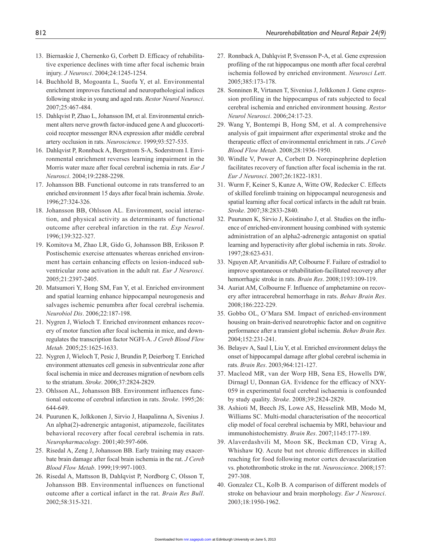- 13. Biernaskie J, Chernenko G, Corbett D. Efficacy of rehabilitative experience declines with time after focal ischemic brain injury. *J Neurosci*. 2004;24:1245-1254.
- 14. Buchhold B, Mogoanta L, Suofu Y, et al. Environmental enrichment improves functional and neuropathological indices following stroke in young and aged rats. *Restor Neurol Neurosci*. 2007;25:467-484.
- 15. Dahlqvist P, Zhao L, Johansson IM, et al. Environmental enrichment alters nerve growth factor-induced gene A and glucocorticoid receptor messenger RNA expression after middle cerebral artery occlusion in rats. *Neuroscience*. 1999;93:527-535.
- 16. Dahlqvist P, Ronnback A, Bergstrom S-A, Soderstrom I. Environmental enrichment reverses learning impairment in the Morris water maze after focal cerebral ischemia in rats. *Eur J Neurosci*. 2004;19:2288-2298.
- 17. Johansson BB. Functional outcome in rats transferred to an enriched environment 15 days after focal brain ischemia. *Stroke*. 1996;27:324-326.
- 18. Johansson BB, Ohlsson AL. Environment, social interaction, and physical activity as determinants of functional outcome after cerebral infarction in the rat. *Exp Neurol*. 1996;139:322-327.
- 19. Komitova M, Zhao LR, Gido G, Johansson BB, Eriksson P. Postischemic exercise attenuates whereas enriched environment has certain enhancing effects on lesion-induced subventricular zone activation in the adult rat. *Eur J Neurosci.* 2005;21:2397-2405.
- 20. Matsumori Y, Hong SM, Fan Y, et al. Enriched environment and spatial learning enhance hippocampal neurogenesis and salvages ischemic penumbra after focal cerebral ischemia. *Neurobiol Dis*. 2006;22:187-198.
- 21. Nygren J, Wieloch T. Enriched environment enhances recovery of motor function after focal ischemia in mice, and downregulates the transcription factor NGFI-A. *J Cereb Blood Flow Metab.* 2005;25:1625-1633.
- 22. Nygren J, Wieloch T, Pesic J, Brundin P, Deierborg T. Enriched environment attenuates cell genesis in subventricular zone after focal ischemia in mice and decreases migration of newborn cells to the striatum. *Stroke*. 2006;37:2824-2829.
- 23. Ohlsson AL, Johansson BB. Environment influences functional outcome of cerebral infarction in rats. *Stroke*. 1995;26: 644-649.
- 24. Puurunen K, Jolkkonen J, Sirvio J, Haapalinna A, Sivenius J. An alpha(2)-adrenergic antagonist, atipamezole, facilitates behavioral recovery after focal cerebral ischemia in rats. *Neuropharmacology*. 2001;40:597-606.
- 25. Risedal A, Zeng J, Johansson BB. Early training may exacerbate brain damage after focal brain ischemia in the rat. *J Cereb Blood Flow Metab*. 1999;19:997-1003.
- 26. Risedal A, Mattsson B, Dahlqvist P, Nordborg C, Olsson T, Johansson BB. Environmental influences on functional outcome after a cortical infarct in the rat. *Brain Res Bull*. 2002;58:315-321.
- 27. Ronnback A, Dahlqvist P, Svensson P-A, et al. Gene expression profiling of the rat hippocampus one month after focal cerebral ischemia followed by enriched environment. *Neurosci Lett*. 2005;385:173-178.
- 28. Sonninen R, Virtanen T, Sivenius J, Jolkkonen J. Gene expression profiling in the hippocampus of rats subjected to focal cerebral ischemia and enriched environment housing. *Restor Neurol Neurosci*. 2006;24:17-23.
- 29. Wang Y, Bontempi B, Hong SM, et al. A comprehensive analysis of gait impairment after experimental stroke and the therapeutic effect of environmental enrichment in rats. *J Cereb Blood Flow Metab*. 2008;28:1936-1950.
- 30. Windle V, Power A, Corbett D. Norepinephrine depletion facilitates recovery of function after focal ischemia in the rat. *Eur J Neurosci*. 2007;26:1822-1831.
- 31. Wurm F, Keiner S, Kunze A, Witte OW, Redecker C. Effects of skilled forelimb training on hippocampal neurogenesis and spatial learning after focal cortical infarcts in the adult rat brain. *Stroke*. 2007;38:2833-2840.
- 32. Puurunen K, Sirvio J, Koistinaho J, et al. Studies on the influence of enriched-environment housing combined with systemic administration of an alpha2-adrenergic antagonist on spatial learning and hyperactivity after global ischemia in rats. *Stroke*. 1997;28:623-631.
- 33. Nguyen AP, Arvanitidis AP, Colbourne F. Failure of estradiol to improve spontaneous or rehabilitation-facilitated recovery after hemorrhagic stroke in rats. *Brain Res*. 2008;1193:109-119.
- 34. Auriat AM, Colbourne F. Influence of amphetamine on recovery after intracerebral hemorrhage in rats. *Behav Brain Res*. 2008;186:222-229.
- 35. Gobbo OL, O'Mara SM. Impact of enriched-environment housing on brain-derived neurotrophic factor and on cognitive performance after a transient global ischemia. *Behav Brain Res.* 2004;152:231-241.
- 36. Belayev A, Saul I, Liu Y, et al. Enriched environment delays the onset of hippocampal damage after global cerebral ischemia in rats. *Brain Res*. 2003;964:121-127.
- 37. Macleod MR, van der Worp HB, Sena ES, Howells DW, Dirnagl U, Donnan GA. Evidence for the efficacy of NXY-059 in experimental focal cerebral ischaemia is confounded by study quality. *Stroke*. 2008;39:2824-2829.
- 38. Ashioti M, Beech JS, Lowe AS, Hesselink MB, Modo M, Williams SC. Multi-modal characterisation of the neocortical clip model of focal cerebral ischaemia by MRI, behaviour and immunohistochemistry. *Brain Res*. 2007;1145:177-189.
- 39. Alaverdashvili M, Moon SK, Beckman CD, Virag A, Whishaw IQ. Acute but not chronic differences in skilled reaching for food following motor cortex devascularization vs. photothrombotic stroke in the rat. *Neuroscience*. 2008;157: 297-308.
- 40. Gonzalez CL, Kolb B. A comparison of different models of stroke on behaviour and brain morphology. *Eur J Neurosci*. 2003;18:1950-1962.